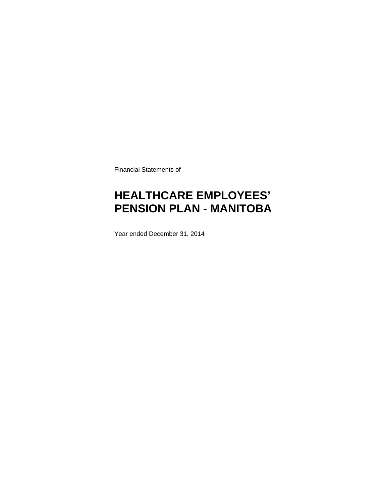Financial Statements of

# **HEALTHCARE EMPLOYEES' PENSION PLAN - MANITOBA**

Year ended December 31, 2014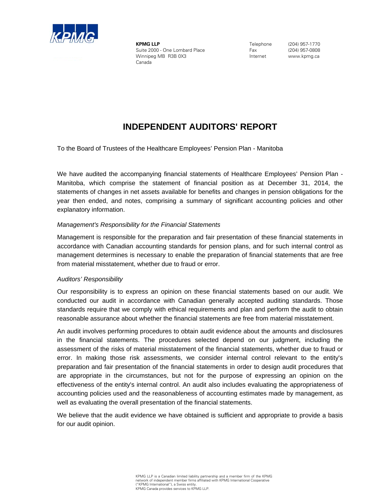

**KPMG LLP** Suite 2000 - One Lombard Place Winnipeg MB R3B 0X3 Canada

Telephone Fax Internet

(204) 957-1770 (204) 957-0808 www.kpmg.ca

# **INDEPENDENT AUDITORS' REPORT**

To the Board of Trustees of the Healthcare Employees' Pension Plan - Manitoba

We have audited the accompanying financial statements of Healthcare Employees' Pension Plan - Manitoba, which comprise the statement of financial position as at December 31, 2014, the statements of changes in net assets available for benefits and changes in pension obligations for the year then ended, and notes, comprising a summary of significant accounting policies and other explanatory information.

### *Management's Responsibility for the Financial Statements*

Management is responsible for the preparation and fair presentation of these financial statements in accordance with Canadian accounting standards for pension plans, and for such internal control as management determines is necessary to enable the preparation of financial statements that are free from material misstatement, whether due to fraud or error.

### *Auditors' Responsibility*

Our responsibility is to express an opinion on these financial statements based on our audit. We conducted our audit in accordance with Canadian generally accepted auditing standards. Those standards require that we comply with ethical requirements and plan and perform the audit to obtain reasonable assurance about whether the financial statements are free from material misstatement.

An audit involves performing procedures to obtain audit evidence about the amounts and disclosures in the financial statements. The procedures selected depend on our judgment, including the assessment of the risks of material misstatement of the financial statements, whether due to fraud or error. In making those risk assessments, we consider internal control relevant to the entity's preparation and fair presentation of the financial statements in order to design audit procedures that are appropriate in the circumstances, but not for the purpose of expressing an opinion on the effectiveness of the entity's internal control. An audit also includes evaluating the appropriateness of accounting policies used and the reasonableness of accounting estimates made by management, as well as evaluating the overall presentation of the financial statements.

We believe that the audit evidence we have obtained is sufficient and appropriate to provide a basis for our audit opinion.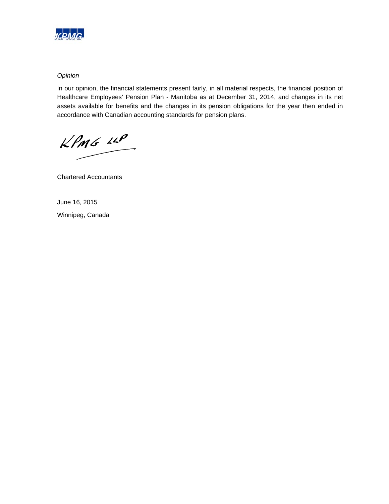

### *Opinion*

In our opinion, the financial statements present fairly, in all material respects, the financial position of Healthcare Employees' Pension Plan - Manitoba as at December 31, 2014, and changes in its net assets available for benefits and the changes in its pension obligations for the year then ended in accordance with Canadian accounting standards for pension plans.

 $KPMG$  14P

Chartered Accountants

June 16, 2015 Winnipeg, Canada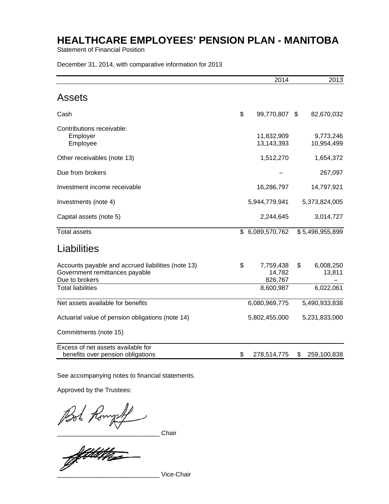Statement of Financial Position

December 31, 2014, with comparative information for 2013

|                                                                                                        | 2014                                 | 2013                      |
|--------------------------------------------------------------------------------------------------------|--------------------------------------|---------------------------|
| Assets                                                                                                 |                                      |                           |
| Cash                                                                                                   | \$<br>99,770,807                     | \$<br>82,670,032          |
| Contributions receivable:<br>Employer<br>Employee                                                      | 11,832,909<br>13,143,393             | 9,773,246<br>10,954,499   |
| Other receivables (note 13)                                                                            | 1,512,270                            | 1,654,372                 |
| Due from brokers                                                                                       |                                      | 267,097                   |
| Investment income receivable                                                                           | 16,286,797                           | 14,797,921                |
| Investments (note 4)                                                                                   | 5,944,779,941                        | 5,373,824,005             |
| Capital assets (note 5)                                                                                | 2,244,645                            | 3,014,727                 |
| <b>Total assets</b>                                                                                    | \$ 6,089,570,762                     | \$5,496,955,899           |
| Liabilities                                                                                            |                                      |                           |
| Accounts payable and accrued liabilities (note 13)<br>Government remittances payable<br>Due to brokers | \$<br>7,759,438<br>14,782<br>826,767 | \$<br>6,008,250<br>13,811 |
| <b>Total liabilities</b>                                                                               | 8,600,987                            | 6,022,061                 |
| Net assets available for benefits                                                                      | 6,080,969,775                        | 5,490,933,838             |
| Actuarial value of pension obligations (note 14)                                                       | 5,802,455,000                        | 5,231,833,000             |
| Commitments (note 15)                                                                                  |                                      |                           |
| Excess of net assets available for<br>benefits over pension obligations                                | \$<br>278,514,775                    | \$<br>259,100,838         |

See accompanying notes to financial statements.

Approved by the Trustees:

Pool Rompf

\_\_\_\_\_\_\_\_\_\_\_\_\_\_\_\_\_\_\_\_\_\_\_\_\_\_\_\_\_ Vice-Chair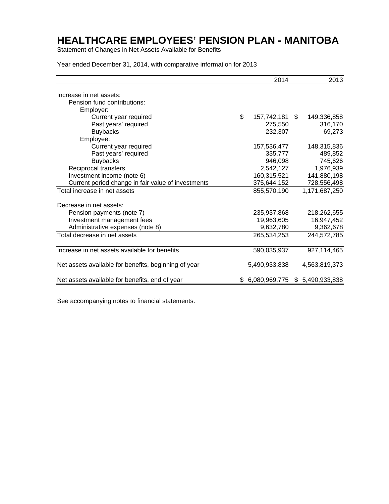Statement of Changes in Net Assets Available for Benefits

Year ended December 31, 2014, with comparative information for 2013

|                                                      | 2014                 | 2013            |
|------------------------------------------------------|----------------------|-----------------|
| Increase in net assets:                              |                      |                 |
| Pension fund contributions:                          |                      |                 |
| Employer:                                            |                      |                 |
| Current year required                                | \$<br>157,742,181 \$ | 149,336,858     |
| Past years' required                                 | 275,550              | 316,170         |
| <b>Buybacks</b>                                      | 232,307              | 69,273          |
| Employee:                                            |                      |                 |
| Current year required                                | 157,536,477          | 148,315,836     |
| Past years' required                                 | 335,777              | 489,852         |
| <b>Buybacks</b>                                      | 946,098              | 745,626         |
| Reciprocal transfers                                 | 2,542,127            | 1,976,939       |
| Investment income (note 6)                           | 160,315,521          | 141,880,198     |
| Current period change in fair value of investments   | 375,644,152          | 728,556,498     |
| Total increase in net assets                         | 855,570,190          | 1,171,687,250   |
| Decrease in net assets:                              |                      |                 |
| Pension payments (note 7)                            | 235,937,868          | 218,262,655     |
| Investment management fees                           | 19,963,605           | 16,947,452      |
| Administrative expenses (note 8)                     | 9,632,780            | 9,362,678       |
| Total decrease in net assets                         | 265,534,253          | 244,572,785     |
| Increase in net assets available for benefits        | 590,035,937          | 927,114,465     |
| Net assets available for benefits, beginning of year | 5,490,933,838        | 4,563,819,373   |
| Net assets available for benefits, end of year       | \$6,080,969,775      | \$5,490,933,838 |

See accompanying notes to financial statements.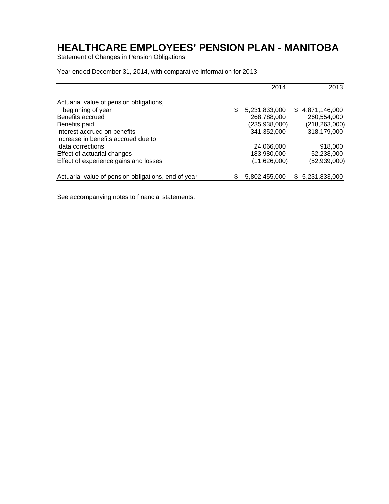Statement of Changes in Pension Obligations

Year ended December 31, 2014, with comparative information for 2013

|                                                     | 2014                | 2013            |
|-----------------------------------------------------|---------------------|-----------------|
| Actuarial value of pension obligations,             |                     |                 |
| beginning of year                                   | \$<br>5,231,833,000 | \$4,871,146,000 |
| Benefits accrued                                    | 268,788,000         | 260,554,000     |
| Benefits paid                                       | (235,938,000)       | (218, 263, 000) |
| Interest accrued on benefits                        | 341,352,000         | 318,179,000     |
| Increase in benefits accrued due to                 |                     |                 |
| data corrections                                    | 24,066,000          | 918,000         |
| Effect of actuarial changes                         | 183,980,000         | 52,238,000      |
| Effect of experience gains and losses               | (11,626,000)        | (52, 939, 000)  |
| Actuarial value of pension obligations, end of year | \$<br>5,802,455,000 | \$5,231,833,000 |

See accompanying notes to financial statements.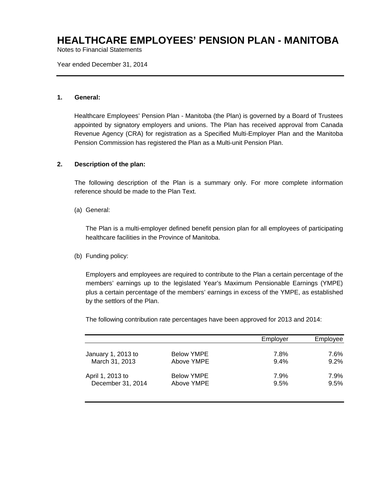Notes to Financial Statements

Year ended December 31, 2014

### **1. General:**

Healthcare Employees' Pension Plan - Manitoba (the Plan) is governed by a Board of Trustees appointed by signatory employers and unions. The Plan has received approval from Canada Revenue Agency (CRA) for registration as a Specified Multi-Employer Plan and the Manitoba Pension Commission has registered the Plan as a Multi-unit Pension Plan.

### **2. Description of the plan:**

The following description of the Plan is a summary only. For more complete information reference should be made to the Plan Text.

(a) General:

The Plan is a multi-employer defined benefit pension plan for all employees of participating healthcare facilities in the Province of Manitoba.

### (b) Funding policy:

Employers and employees are required to contribute to the Plan a certain percentage of the members' earnings up to the legislated Year's Maximum Pensionable Earnings (YMPE) plus a certain percentage of the members' earnings in excess of the YMPE, as established by the settlors of the Plan.

The following contribution rate percentages have been approved for 2013 and 2014:

|                    |                   | Employer | Employee |
|--------------------|-------------------|----------|----------|
| January 1, 2013 to | <b>Below YMPE</b> | 7.8%     | 7.6%     |
| March 31, 2013     | Above YMPE        | 9.4%     | $9.2\%$  |
| April 1, 2013 to   | <b>Below YMPE</b> | 7.9%     | 7.9%     |
| December 31, 2014  | Above YMPE        | 9.5%     | 9.5%     |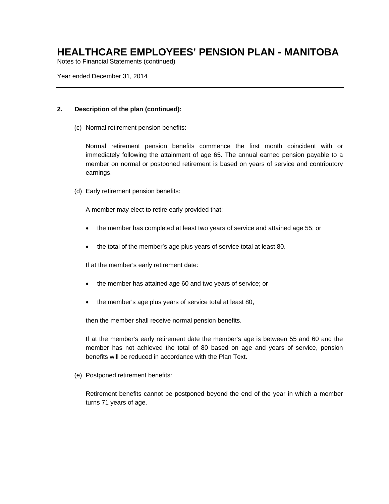Notes to Financial Statements (continued)

Year ended December 31, 2014

### **2. Description of the plan (continued):**

(c) Normal retirement pension benefits:

Normal retirement pension benefits commence the first month coincident with or immediately following the attainment of age 65. The annual earned pension payable to a member on normal or postponed retirement is based on years of service and contributory earnings.

(d) Early retirement pension benefits:

A member may elect to retire early provided that:

- the member has completed at least two years of service and attained age 55; or
- the total of the member's age plus years of service total at least 80.

If at the member's early retirement date:

- the member has attained age 60 and two years of service; or
- the member's age plus years of service total at least 80,

then the member shall receive normal pension benefits.

If at the member's early retirement date the member's age is between 55 and 60 and the member has not achieved the total of 80 based on age and years of service, pension benefits will be reduced in accordance with the Plan Text.

(e) Postponed retirement benefits:

Retirement benefits cannot be postponed beyond the end of the year in which a member turns 71 years of age.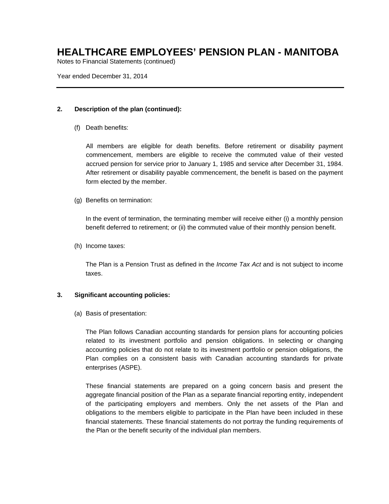Notes to Financial Statements (continued)

Year ended December 31, 2014

### **2. Description of the plan (continued):**

(f) Death benefits:

All members are eligible for death benefits. Before retirement or disability payment commencement, members are eligible to receive the commuted value of their vested accrued pension for service prior to January 1, 1985 and service after December 31, 1984. After retirement or disability payable commencement, the benefit is based on the payment form elected by the member.

(g) Benefits on termination:

In the event of termination, the terminating member will receive either (i) a monthly pension benefit deferred to retirement; or (ii) the commuted value of their monthly pension benefit.

(h) Income taxes:

The Plan is a Pension Trust as defined in the *Income Tax Act* and is not subject to income taxes.

### **3. Significant accounting policies:**

(a) Basis of presentation:

The Plan follows Canadian accounting standards for pension plans for accounting policies related to its investment portfolio and pension obligations. In selecting or changing accounting policies that do not relate to its investment portfolio or pension obligations, the Plan complies on a consistent basis with Canadian accounting standards for private enterprises (ASPE).

These financial statements are prepared on a going concern basis and present the aggregate financial position of the Plan as a separate financial reporting entity, independent of the participating employers and members. Only the net assets of the Plan and obligations to the members eligible to participate in the Plan have been included in these financial statements. These financial statements do not portray the funding requirements of the Plan or the benefit security of the individual plan members.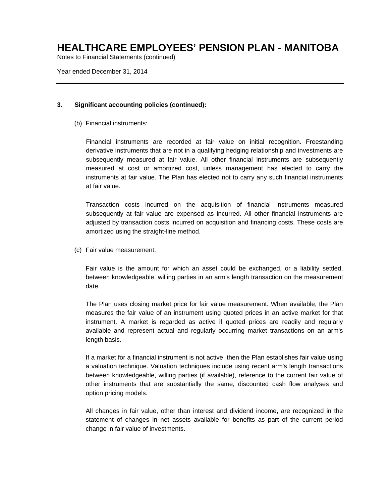Notes to Financial Statements (continued)

Year ended December 31, 2014

### **3. Significant accounting policies (continued):**

(b) Financial instruments:

Financial instruments are recorded at fair value on initial recognition. Freestanding derivative instruments that are not in a qualifying hedging relationship and investments are subsequently measured at fair value. All other financial instruments are subsequently measured at cost or amortized cost, unless management has elected to carry the instruments at fair value. The Plan has elected not to carry any such financial instruments at fair value.

Transaction costs incurred on the acquisition of financial instruments measured subsequently at fair value are expensed as incurred. All other financial instruments are adjusted by transaction costs incurred on acquisition and financing costs. These costs are amortized using the straight-line method.

(c) Fair value measurement:

Fair value is the amount for which an asset could be exchanged, or a liability settled, between knowledgeable, willing parties in an arm's length transaction on the measurement date.

The Plan uses closing market price for fair value measurement. When available, the Plan measures the fair value of an instrument using quoted prices in an active market for that instrument. A market is regarded as active if quoted prices are readily and regularly available and represent actual and regularly occurring market transactions on an arm's length basis.

If a market for a financial instrument is not active, then the Plan establishes fair value using a valuation technique. Valuation techniques include using recent arm's length transactions between knowledgeable, willing parties (if available), reference to the current fair value of other instruments that are substantially the same, discounted cash flow analyses and option pricing models.

All changes in fair value, other than interest and dividend income, are recognized in the statement of changes in net assets available for benefits as part of the current period change in fair value of investments.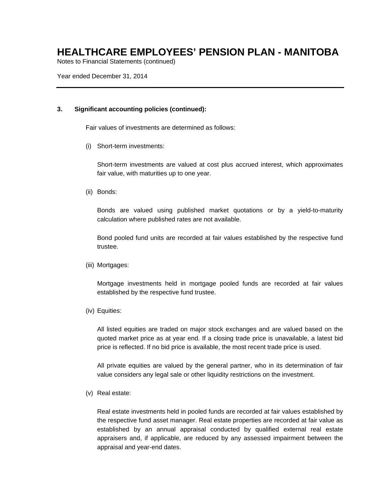Notes to Financial Statements (continued)

Year ended December 31, 2014

### **3. Significant accounting policies (continued):**

Fair values of investments are determined as follows:

(i) Short-term investments:

Short-term investments are valued at cost plus accrued interest, which approximates fair value, with maturities up to one year.

(ii) Bonds:

Bonds are valued using published market quotations or by a yield-to-maturity calculation where published rates are not available.

Bond pooled fund units are recorded at fair values established by the respective fund trustee.

(iii) Mortgages:

Mortgage investments held in mortgage pooled funds are recorded at fair values established by the respective fund trustee.

(iv) Equities:

All listed equities are traded on major stock exchanges and are valued based on the quoted market price as at year end. If a closing trade price is unavailable, a latest bid price is reflected. If no bid price is available, the most recent trade price is used.

All private equities are valued by the general partner, who in its determination of fair value considers any legal sale or other liquidity restrictions on the investment.

(v) Real estate:

Real estate investments held in pooled funds are recorded at fair values established by the respective fund asset manager. Real estate properties are recorded at fair value as established by an annual appraisal conducted by qualified external real estate appraisers and, if applicable, are reduced by any assessed impairment between the appraisal and year-end dates.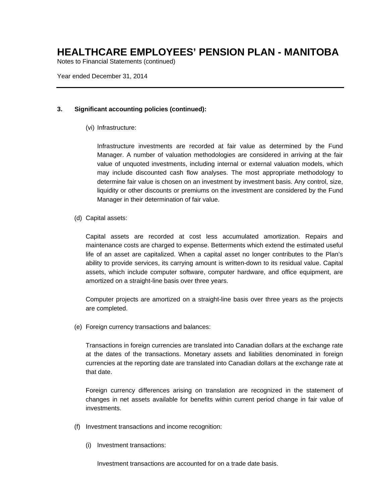Notes to Financial Statements (continued)

Year ended December 31, 2014

### **3. Significant accounting policies (continued):**

(vi) Infrastructure:

Infrastructure investments are recorded at fair value as determined by the Fund Manager. A number of valuation methodologies are considered in arriving at the fair value of unquoted investments, including internal or external valuation models, which may include discounted cash flow analyses. The most appropriate methodology to determine fair value is chosen on an investment by investment basis. Any control, size, liquidity or other discounts or premiums on the investment are considered by the Fund Manager in their determination of fair value.

(d) Capital assets:

Capital assets are recorded at cost less accumulated amortization. Repairs and maintenance costs are charged to expense. Betterments which extend the estimated useful life of an asset are capitalized. When a capital asset no longer contributes to the Plan's ability to provide services, its carrying amount is written-down to its residual value. Capital assets, which include computer software, computer hardware, and office equipment, are amortized on a straight-line basis over three years.

Computer projects are amortized on a straight-line basis over three years as the projects are completed.

(e) Foreign currency transactions and balances:

Transactions in foreign currencies are translated into Canadian dollars at the exchange rate at the dates of the transactions. Monetary assets and liabilities denominated in foreign currencies at the reporting date are translated into Canadian dollars at the exchange rate at that date.

Foreign currency differences arising on translation are recognized in the statement of changes in net assets available for benefits within current period change in fair value of investments.

- (f) Investment transactions and income recognition:
	- (i) Investment transactions:

Investment transactions are accounted for on a trade date basis.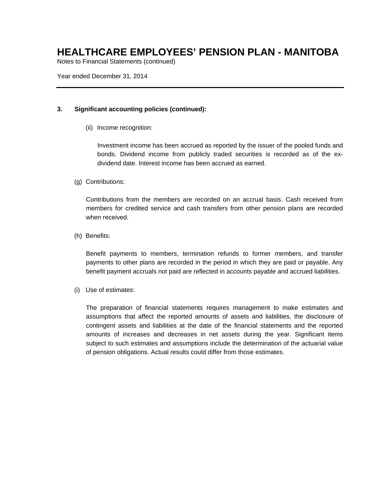Notes to Financial Statements (continued)

Year ended December 31, 2014

### **3. Significant accounting policies (continued):**

(ii) Income recognition:

Investment income has been accrued as reported by the issuer of the pooled funds and bonds. Dividend income from publicly traded securities is recorded as of the exdividend date. Interest income has been accrued as earned.

### (g) Contributions:

Contributions from the members are recorded on an accrual basis. Cash received from members for credited service and cash transfers from other pension plans are recorded when received.

(h) Benefits:

Benefit payments to members, termination refunds to former members, and transfer payments to other plans are recorded in the period in which they are paid or payable. Any benefit payment accruals not paid are reflected in accounts payable and accrued liabilities.

(i) Use of estimates:

The preparation of financial statements requires management to make estimates and assumptions that affect the reported amounts of assets and liabilities, the disclosure of contingent assets and liabilities at the date of the financial statements and the reported amounts of increases and decreases in net assets during the year. Significant items subject to such estimates and assumptions include the determination of the actuarial value of pension obligations. Actual results could differ from those estimates.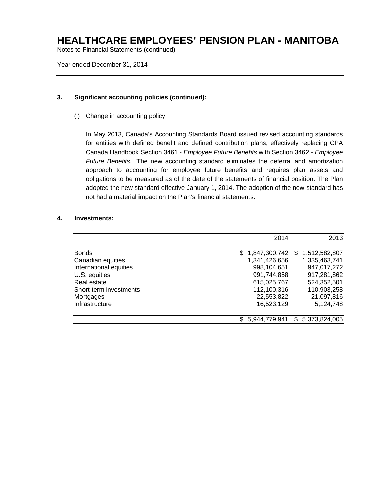Notes to Financial Statements (continued)

Year ended December 31, 2014

### **3. Significant accounting policies (continued):**

(j) Change in accounting policy:

In May 2013, Canada's Accounting Standards Board issued revised accounting standards for entities with defined benefit and defined contribution plans, effectively replacing CPA Canada Handbook Section 3461 - *Employee Future Benefits* with Section 3462 - *Employee Future Benefits.* The new accounting standard eliminates the deferral and amortization approach to accounting for employee future benefits and requires plan assets and obligations to be measured as of the date of the statements of financial position. The Plan adopted the new standard effective January 1, 2014. The adoption of the new standard has not had a material impact on the Plan's financial statements.

### **4. Investments:**

|                        | 2014                 | 2013                 |
|------------------------|----------------------|----------------------|
|                        |                      |                      |
| <b>Bonds</b>           | 1,847,300,742<br>\$. | 1,512,582,807<br>\$. |
| Canadian equities      | 1,341,426,656        | 1,335,463,741        |
| International equities | 998,104,651          | 947,017,272          |
| U.S. equities          | 991,744,858          | 917,281,862          |
| Real estate            | 615,025,767          | 524,352,501          |
| Short-term investments | 112,100,316          | 110,903,258          |
| Mortgages              | 22,553,822           | 21,097,816           |
| Infrastructure         | 16,523,129           | 5,124,748            |
|                        | 5,944,779,941<br>\$. | \$5,373,824,005      |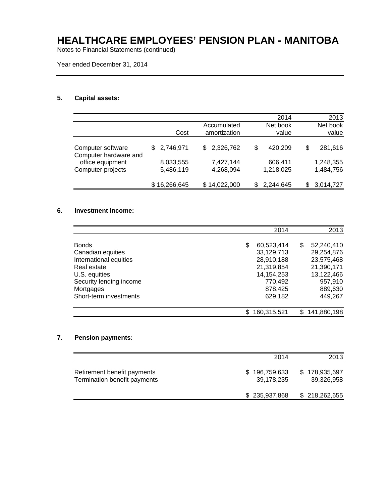Notes to Financial Statements (continued)

Year ended December 31, 2014

### **5. Capital assets:**

| 2014      |                    | 2013      |
|-----------|--------------------|-----------|
| Net book  |                    | Net book  |
| value     |                    | value     |
|           |                    |           |
|           | \$                 | 281,616   |
|           |                    |           |
|           |                    | 1,248,355 |
| 1,218,025 |                    | 1,484,756 |
|           |                    |           |
| 2,244,645 | S                  | 3,014,727 |
|           | 420,209<br>606,411 |           |

### **6. Investment income:**

|                         |     | 2014        |     | 2013        |
|-------------------------|-----|-------------|-----|-------------|
| <b>Bonds</b>            | \$  | 60,523,414  | S   | 52,240,410  |
| Canadian equities       |     | 33,129,713  |     | 29,254,876  |
| International equities  |     | 28,910,188  |     | 23,575,468  |
| Real estate             |     | 21,319,854  |     | 21,390,171  |
| U.S. equities           |     | 14,154,253  |     | 13.122.466  |
| Security lending income |     | 770.492     |     | 957,910     |
| Mortgages               |     | 878,425     |     | 889,630     |
| Short-term investments  |     | 629,182     |     | 449,267     |
|                         | \$. | 160,315,521 | SS. | 141,880,198 |

### **7. Pension payments:**

|                                                             | 2014                        | 2013                        |
|-------------------------------------------------------------|-----------------------------|-----------------------------|
| Retirement benefit payments<br>Termination benefit payments | \$196,759,633<br>39,178,235 | \$178,935,697<br>39,326,958 |
|                                                             | \$235,937,868               | \$218,262,655               |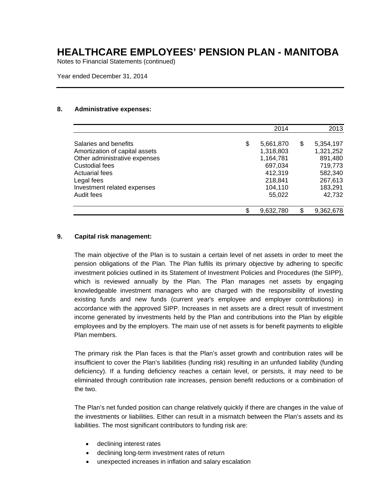Notes to Financial Statements (continued)

Year ended December 31, 2014

#### **8. Administrative expenses:**

|                                | 2014            |    | 2013      |
|--------------------------------|-----------------|----|-----------|
| Salaries and benefits          | \$<br>5,661,870 | \$ | 5,354,197 |
| Amortization of capital assets | 1,318,803       |    | 1,321,252 |
| Other administrative expenses  | 1,164,781       |    | 891,480   |
| Custodial fees                 | 697,034         |    | 719,773   |
| <b>Actuarial fees</b>          | 412,319         |    | 582,340   |
| Legal fees                     | 218,841         |    | 267,613   |
| Investment related expenses    | 104,110         |    | 183,291   |
| Audit fees                     | 55,022          |    | 42,732    |
|                                | \$<br>9,632,780 | ß. | 9,362,678 |

### **9. Capital risk management:**

The main objective of the Plan is to sustain a certain level of net assets in order to meet the pension obligations of the Plan. The Plan fulfils its primary objective by adhering to specific investment policies outlined in its Statement of Investment Policies and Procedures (the SIPP), which is reviewed annually by the Plan. The Plan manages net assets by engaging knowledgeable investment managers who are charged with the responsibility of investing existing funds and new funds (current year's employee and employer contributions) in accordance with the approved SIPP. Increases in net assets are a direct result of investment income generated by investments held by the Plan and contributions into the Plan by eligible employees and by the employers. The main use of net assets is for benefit payments to eligible Plan members.

The primary risk the Plan faces is that the Plan's asset growth and contribution rates will be insufficient to cover the Plan's liabilities (funding risk) resulting in an unfunded liability (funding deficiency). If a funding deficiency reaches a certain level, or persists, it may need to be eliminated through contribution rate increases, pension benefit reductions or a combination of the two.

The Plan's net funded position can change relatively quickly if there are changes in the value of the investments or liabilities. Either can result in a mismatch between the Plan's assets and its liabilities. The most significant contributors to funding risk are:

- declining interest rates
- declining long-term investment rates of return
- unexpected increases in inflation and salary escalation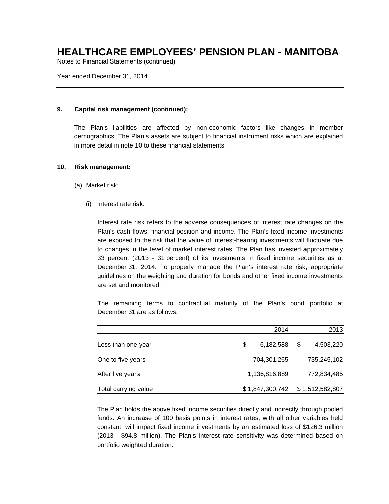Notes to Financial Statements (continued)

Year ended December 31, 2014

### **9. Capital risk management (continued):**

The Plan's liabilities are affected by non-economic factors like changes in member demographics. The Plan's assets are subject to financial instrument risks which are explained in more detail in note 10 to these financial statements.

#### **10. Risk management:**

- (a) Market risk:
	- (i) Interest rate risk:

Interest rate risk refers to the adverse consequences of interest rate changes on the Plan's cash flows, financial position and income. The Plan's fixed income investments are exposed to the risk that the value of interest-bearing investments will fluctuate due to changes in the level of market interest rates. The Plan has invested approximately 33 percent (2013 - 31 percent) of its investments in fixed income securities as at December 31, 2014. To properly manage the Plan's interest rate risk, appropriate guidelines on the weighting and duration for bonds and other fixed income investments are set and monitored.

The remaining terms to contractual maturity of the Plan's bond portfolio at December 31 are as follows:

|                      | 2014            |   | 2013            |
|----------------------|-----------------|---|-----------------|
| Less than one year   | \$<br>6,182,588 | S | 4,503,220       |
| One to five years    | 704,301,265     |   | 735,245,102     |
| After five years     | 1,136,816,889   |   | 772,834,485     |
| Total carrying value | \$1,847,300,742 |   | \$1,512,582,807 |

The Plan holds the above fixed income securities directly and indirectly through pooled funds. An increase of 100 basis points in interest rates, with all other variables held constant, will impact fixed income investments by an estimated loss of \$126.3 million (2013 - \$94.8 million). The Plan's interest rate sensitivity was determined based on portfolio weighted duration.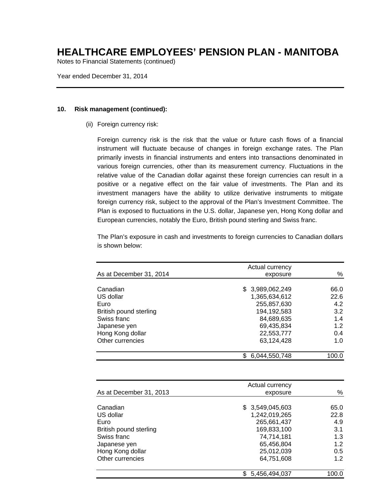Notes to Financial Statements (continued)

Year ended December 31, 2014

#### **10. Risk management (continued):**

(ii) Foreign currency risk:

Foreign currency risk is the risk that the value or future cash flows of a financial instrument will fluctuate because of changes in foreign exchange rates. The Plan primarily invests in financial instruments and enters into transactions denominated in various foreign currencies, other than its measurement currency. Fluctuations in the relative value of the Canadian dollar against these foreign currencies can result in a positive or a negative effect on the fair value of investments. The Plan and its investment managers have the ability to utilize derivative instruments to mitigate foreign currency risk, subject to the approval of the Plan's Investment Committee. The Plan is exposed to fluctuations in the U.S. dollar, Japanese yen, Hong Kong dollar and European currencies, notably the Euro, British pound sterling and Swiss franc.

The Plan's exposure in cash and investments to foreign currencies to Canadian dollars is shown below:

|       | Actual currency      |                         |  |
|-------|----------------------|-------------------------|--|
| %     | exposure             | As at December 31, 2014 |  |
| 66.0  | \$ 3,989,062,249     | Canadian                |  |
| 22.6  | 1,365,634,612        | US dollar               |  |
| 4.2   | 255,857,630          | Euro                    |  |
| 3.2   | 194,192,583          | British pound sterling  |  |
| 1.4   | 84.689.635           | Swiss franc             |  |
| 1.2   | 69,435,834           | Japanese yen            |  |
| 0.4   | 22,553,777           | Hong Kong dollar        |  |
| 1.0   | 63,124,428           | Other currencies        |  |
| 100.0 | 6,044,550,748<br>\$. |                         |  |

|                                                                                        | Actual currency                                                                            |                                          |
|----------------------------------------------------------------------------------------|--------------------------------------------------------------------------------------------|------------------------------------------|
| As at December 31, 2013                                                                | exposure                                                                                   | %                                        |
| Canadian<br>US dollar<br>Euro<br>British pound sterling<br>Swiss franc<br>Japanese yen | \$3,549,045,603<br>1,242,019,265<br>265,661,437<br>169,833,100<br>74,714,181<br>65,456,804 | 65.0<br>22.8<br>4.9<br>3.1<br>1.3<br>1.2 |
| Hong Kong dollar<br>Other currencies                                                   | 25,012,039<br>64,751,608                                                                   | 0.5<br>1.2                               |
|                                                                                        | 5,456,494,037                                                                              | 100.0                                    |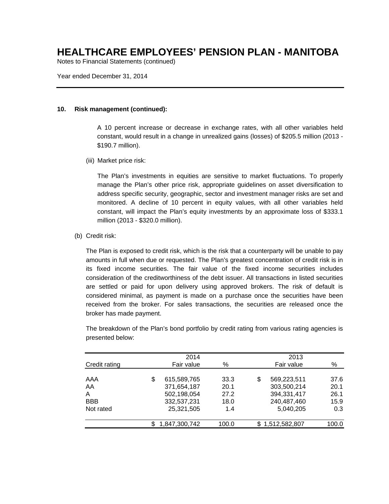Notes to Financial Statements (continued)

Year ended December 31, 2014

#### **10. Risk management (continued):**

A 10 percent increase or decrease in exchange rates, with all other variables held constant, would result in a change in unrealized gains (losses) of \$205.5 million (2013 - \$190.7 million).

(iii) Market price risk:

The Plan's investments in equities are sensitive to market fluctuations. To properly manage the Plan's other price risk, appropriate guidelines on asset diversification to address specific security, geographic, sector and investment manager risks are set and monitored. A decline of 10 percent in equity values, with all other variables held constant, will impact the Plan's equity investments by an approximate loss of \$333.1 million (2013 - \$320.0 million).

(b) Credit risk:

The Plan is exposed to credit risk, which is the risk that a counterparty will be unable to pay amounts in full when due or requested. The Plan's greatest concentration of credit risk is in its fixed income securities. The fair value of the fixed income securities includes consideration of the creditworthiness of the debt issuer. All transactions in listed securities are settled or paid for upon delivery using approved brokers. The risk of default is considered minimal, as payment is made on a purchase once the securities have been received from the broker. For sales transactions, the securities are released once the broker has made payment.

The breakdown of the Plan's bond portfolio by credit rating from various rating agencies is presented below:

|               | 2014              |       |     | 2013          |       |
|---------------|-------------------|-------|-----|---------------|-------|
| Credit rating | Fair value        | %     |     | Fair value    | %     |
| AAA           | \$<br>615,589,765 | 33.3  | \$  | 569,223,511   | 37.6  |
| AA            | 371,654,187       | 20.1  |     | 303,500,214   | 20.1  |
| A             | 502,198,054       | 27.2  |     | 394,331,417   | 26.1  |
| <b>BBB</b>    | 332,537,231       | 18.0  |     | 240,487,460   | 15.9  |
| Not rated     | 25,321,505        | 1.4   |     | 5,040,205     | 0.3   |
|               | 1,847,300,742     | 100.0 | \$. | 1,512,582,807 | 100.0 |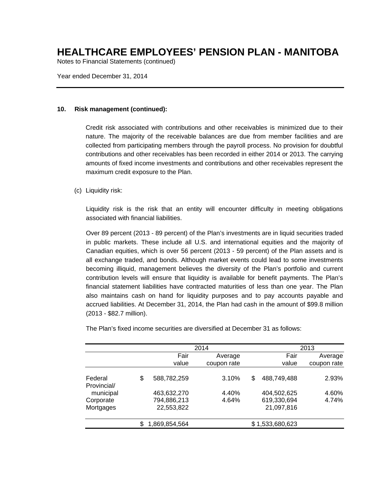Notes to Financial Statements (continued)

Year ended December 31, 2014

#### **10. Risk management (continued):**

Credit risk associated with contributions and other receivables is minimized due to their nature. The majority of the receivable balances are due from member facilities and are collected from participating members through the payroll process. No provision for doubtful contributions and other receivables has been recorded in either 2014 or 2013. The carrying amounts of fixed income investments and contributions and other receivables represent the maximum credit exposure to the Plan.

### (c) Liquidity risk:

Liquidity risk is the risk that an entity will encounter difficulty in meeting obligations associated with financial liabilities.

Over 89 percent (2013 - 89 percent) of the Plan's investments are in liquid securities traded in public markets. These include all U.S. and international equities and the majority of Canadian equities, which is over 56 percent (2013 - 59 percent) of the Plan assets and is all exchange traded, and bonds. Although market events could lead to some investments becoming illiquid, management believes the diversity of the Plan's portfolio and current contribution levels will ensure that liquidity is available for benefit payments. The Plan's financial statement liabilities have contracted maturities of less than one year. The Plan also maintains cash on hand for liquidity purposes and to pay accounts payable and accrued liabilities. At December 31, 2014, the Plan had cash in the amount of \$99.8 million (2013 - \$82.7 million).

|                        |                           | 2014        |    | 2013                      |             |
|------------------------|---------------------------|-------------|----|---------------------------|-------------|
|                        | Fair                      | Average     |    | Fair                      | Average     |
|                        | value                     | coupon rate |    | value                     | coupon rate |
| Federal<br>Provincial/ | \$<br>588,782,259         | 3.10%       | \$ | 488,749,488               | 2.93%       |
| municipal              | 463,632,270               | 4.40%       |    | 404,502,625               | 4.60%       |
| Corporate<br>Mortgages | 794,886,213<br>22,553,822 | 4.64%       |    | 619,330,694<br>21,097,816 | 4.74%       |
|                        | \$<br>1,869,854,564       |             |    | \$1,533,680,623           |             |

The Plan's fixed income securities are diversified at December 31 as follows: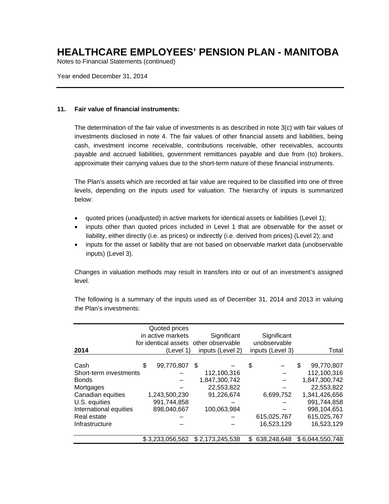Notes to Financial Statements (continued)

Year ended December 31, 2014

### **11. Fair value of financial instruments:**

The determination of the fair value of investments is as described in note 3(c) with fair values of investments disclosed in note 4. The fair values of other financial assets and liabilities, being cash, investment income receivable, contributions receivable, other receivables, accounts payable and accrued liabilities, government remittances payable and due from (to) brokers, approximate their carrying values due to the short-term nature of these financial instruments.

The Plan's assets which are recorded at fair value are required to be classified into one of three levels, depending on the inputs used for valuation. The hierarchy of inputs is summarized below:

- quoted prices (unadjusted) in active markets for identical assets or liabilities (Level 1);
- inputs other than quoted prices included in Level 1 that are observable for the asset or liability, either directly (i.e. as prices) or indirectly (i.e. derived from prices) (Level 2); and
- inputs for the asset or liability that are not based on observable market data (unobservable inputs) (Level 3).

Changes in valuation methods may result in transfers into or out of an investment's assigned level.

|                        | Quoted prices     |                                       |     |                  |                  |
|------------------------|-------------------|---------------------------------------|-----|------------------|------------------|
|                        | in active markets | Significant                           |     | Significant      |                  |
|                        |                   | for identical assets other observable |     | unobservable     |                  |
| 2014                   | (Level 1)         | inputs (Level 2)                      |     | inputs (Level 3) | Total            |
|                        |                   |                                       |     |                  |                  |
| Cash                   | \$<br>99,770,807  | -\$                                   | \$  |                  | \$<br>99,770,807 |
| Short-term investments |                   | 112,100,316                           |     |                  | 112,100,316      |
| <b>Bonds</b>           |                   | 1,847,300,742                         |     |                  | 1,847,300,742    |
| Mortgages              |                   | 22,553,822                            |     |                  | 22,553,822       |
| Canadian equities      | 1,243,500,230     | 91,226,674                            |     | 6,699,752        | 1,341,426,656    |
| U.S. equities          | 991,744,858       |                                       |     |                  | 991,744,858      |
| International equities | 898,040,667       | 100,063,984                           |     |                  | 998,104,651      |
| Real estate            |                   |                                       |     | 615,025,767      | 615,025,767      |
| Infrastructure         |                   |                                       |     | 16,523,129       | 16,523,129       |
|                        | \$3,233,056,562   | \$2,173,245,538                       | \$. | 638,248,648      | \$6,044,550,748  |

The following is a summary of the inputs used as of December 31, 2014 and 2013 in valuing the Plan's investments: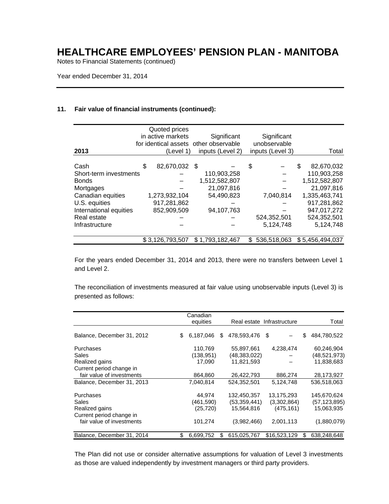Notes to Financial Statements (continued)

Year ended December 31, 2014

### **11. Fair value of financial instruments (continued):**

|                        | Quoted prices<br>in active markets | Significant<br>for identical assets other observable |    | Significant<br>unobservable |                  |
|------------------------|------------------------------------|------------------------------------------------------|----|-----------------------------|------------------|
| 2013                   | (Level 1)                          | inputs (Level 2)                                     |    | inputs (Level 3)            | Total            |
| Cash                   | \$<br>82,670,032 \$                |                                                      | \$ |                             | \$<br>82.670.032 |
| Short-term investments |                                    | 110,903,258                                          |    |                             | 110,903,258      |
| <b>Bonds</b>           |                                    | 1,512,582,807                                        |    |                             | 1,512,582,807    |
| Mortgages              |                                    | 21,097,816                                           |    |                             | 21,097,816       |
| Canadian equities      | 1,273,932,104                      | 54,490,823                                           |    | 7,040,814                   | 1,335,463,741    |
| U.S. equities          | 917,281,862                        |                                                      |    |                             | 917,281,862      |
| International equities | 852,909,509                        | 94,107,763                                           |    |                             | 947,017,272      |
| Real estate            |                                    |                                                      |    | 524,352,501                 | 524,352,501      |
| Infrastructure         |                                    |                                                      |    | 5,124,748                   | 5,124,748        |
|                        | \$3,126,793,507                    | \$1,793,182,467                                      | S. | 536,518,063                 | \$5,456,494,037  |

For the years ended December 31, 2014 and 2013, there were no transfers between Level 1 and Level 2.

The reconciliation of investments measured at fair value using unobservable inputs (Level 3) is presented as follows:

|                            | Canadian<br>equities |                      | Real estate Infrastructure |    | Total          |
|----------------------------|----------------------|----------------------|----------------------------|----|----------------|
|                            |                      |                      |                            |    |                |
| Balance, December 31, 2012 | \$<br>6.187.046      | \$<br>478,593,476 \$ |                            | \$ | 484,780,522    |
| Purchases                  | 110,769              | 55,897,661           | 4,238,474                  |    | 60,246,904     |
| Sales                      | (138, 951)           | (48, 383, 022)       |                            |    | (48,521,973)   |
| Realized gains             | 17.090               | 11,821,593           |                            |    | 11,838,683     |
| Current period change in   |                      |                      |                            |    |                |
| fair value of investments  | 864,860              | 26,422,793           | 886,274                    |    | 28,173,927     |
| Balance, December 31, 2013 | 7,040,814            | 524,352,501          | 5,124,748                  |    | 536,518,063    |
| Purchases                  | 44.974               | 132,450,357          | 13,175,293                 |    | 145,670,624    |
| Sales                      | (461,590)            | (53, 359, 441)       | (3,302,864)                |    | (57, 123, 895) |
| Realized gains             | (25, 720)            | 15,564,816           | (475, 161)                 |    | 15,063,935     |
| Current period change in   |                      |                      |                            |    |                |
| fair value of investments  | 101,274              | (3,982,466)          | 2,001,113                  |    | (1,880,079)    |
| Balance, December 31, 2014 | \$<br>6,699,752      | \$<br>615,025,767    | \$16,523,129               | S  | 638,248,648    |

The Plan did not use or consider alternative assumptions for valuation of Level 3 investments as those are valued independently by investment managers or third party providers.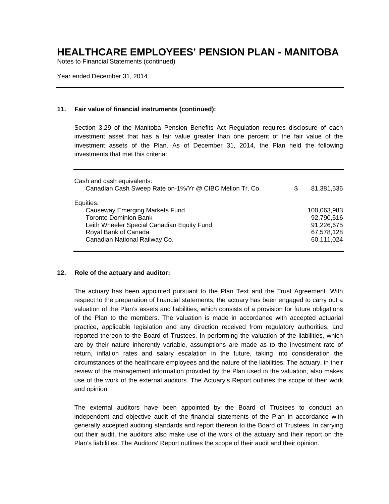Notes to Financial Statements (continued)

Year ended December 31, 2014

### **11. Fair value of financial instruments (continued):**

Section 3.29 of the Manitoba Pension Benefits Act Regulation requires disclosure of each investment asset that has a fair value greater than one percent of the fair value of the investment assets of the Plan. As of December 31, 2014, the Plan held the following investments that met this criteria:

| Cash and cash equivalents:<br>Canadian Cash Sweep Rate on-1%/Yr @ CIBC Mellon Tr. Co. | S | 81,381,536  |
|---------------------------------------------------------------------------------------|---|-------------|
| Equities:                                                                             |   |             |
| Causeway Emerging Markets Fund                                                        |   | 100,063,983 |
| <b>Toronto Dominion Bank</b>                                                          |   | 92,790,516  |
| Leith Wheeler Special Canadian Equity Fund                                            |   | 91,226,675  |
| Royal Bank of Canada                                                                  |   | 67,578,128  |
| Canadian National Railway Co.                                                         |   | 60,111,024  |
|                                                                                       |   |             |

### **12. Role of the actuary and auditor:**

The actuary has been appointed pursuant to the Plan Text and the Trust Agreement. With respect to the preparation of financial statements, the actuary has been engaged to carry out a valuation of the Plan's assets and liabilities, which consists of a provision for future obligations of the Plan to the members. The valuation is made in accordance with accepted actuarial practice, applicable legislation and any direction received from regulatory authorities, and reported thereon to the Board of Trustees. In performing the valuation of the liabilities, which are by their nature inherently variable, assumptions are made as to the investment rate of return, inflation rates and salary escalation in the future, taking into consideration the circumstances of the healthcare employees and the nature of the liabilities. The actuary, in their review of the management information provided by the Plan used in the valuation, also makes use of the work of the external auditors. The Actuary's Report outlines the scope of their work and opinion.

The external auditors have been appointed by the Board of Trustees to conduct an independent and objective audit of the financial statements of the Plan in accordance with generally accepted auditing standards and report thereon to the Board of Trustees. In carrying out their audit, the auditors also make use of the work of the actuary and their report on the Plan's liabilities. The Auditors' Report outlines the scope of their audit and their opinion.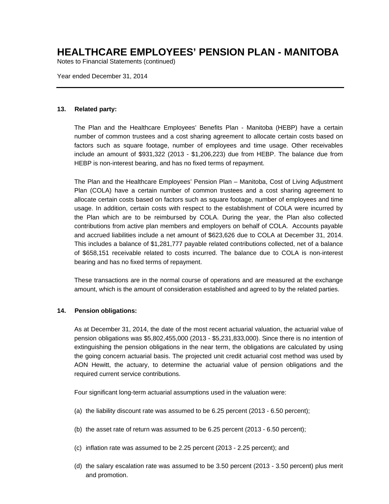Notes to Financial Statements (continued)

Year ended December 31, 2014

### **13. Related party:**

The Plan and the Healthcare Employees' Benefits Plan - Manitoba (HEBP) have a certain number of common trustees and a cost sharing agreement to allocate certain costs based on factors such as square footage, number of employees and time usage. Other receivables include an amount of \$931,322 (2013 - \$1,206,223) due from HEBP. The balance due from HEBP is non-interest bearing, and has no fixed terms of repayment.

The Plan and the Healthcare Employees' Pension Plan – Manitoba, Cost of Living Adjustment Plan (COLA) have a certain number of common trustees and a cost sharing agreement to allocate certain costs based on factors such as square footage, number of employees and time usage. In addition, certain costs with respect to the establishment of COLA were incurred by the Plan which are to be reimbursed by COLA. During the year, the Plan also collected contributions from active plan members and employers on behalf of COLA. Accounts payable and accrued liabilities include a net amount of \$623,626 due to COLA at December 31, 2014. This includes a balance of \$1,281,777 payable related contributions collected, net of a balance of \$658,151 receivable related to costs incurred. The balance due to COLA is non-interest bearing and has no fixed terms of repayment.

These transactions are in the normal course of operations and are measured at the exchange amount, which is the amount of consideration established and agreed to by the related parties.

### **14. Pension obligations:**

As at December 31, 2014, the date of the most recent actuarial valuation, the actuarial value of pension obligations was \$5,802,455,000 (2013 - \$5,231,833,000). Since there is no intention of extinguishing the pension obligations in the near term, the obligations are calculated by using the going concern actuarial basis. The projected unit credit actuarial cost method was used by AON Hewitt, the actuary, to determine the actuarial value of pension obligations and the required current service contributions.

Four significant long-term actuarial assumptions used in the valuation were:

- (a) the liability discount rate was assumed to be 6.25 percent (2013 6.50 percent);
- (b) the asset rate of return was assumed to be 6.25 percent (2013 6.50 percent);
- (c) inflation rate was assumed to be 2.25 percent (2013 2.25 percent); and
- (d) the salary escalation rate was assumed to be 3.50 percent (2013 3.50 percent) plus merit and promotion.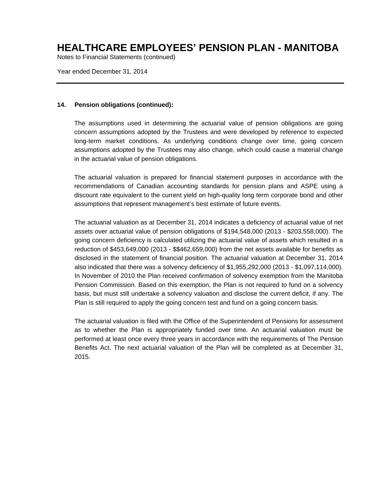Notes to Financial Statements (continued)

Year ended December 31, 2014

### **14. Pension obligations (continued):**

The assumptions used in determining the actuarial value of pension obligations are going concern assumptions adopted by the Trustees and were developed by reference to expected long-term market conditions. As underlying conditions change over time, going concern assumptions adopted by the Trustees may also change, which could cause a material change in the actuarial value of pension obligations.

The actuarial valuation is prepared for financial statement purposes in accordance with the recommendations of Canadian accounting standards for pension plans and ASPE using a discount rate equivalent to the current yield on high-quality long term corporate bond and other assumptions that represent management's best estimate of future events.

The actuarial valuation as at December 31, 2014 indicates a deficiency of actuarial value of net assets over actuarial value of pension obligations of \$194,548,000 (2013 - \$203,558,000). The going concern deficiency is calculated utilizing the actuarial value of assets which resulted in a reduction of \$453,649,000 (2013 - \$\$462,659,000) from the net assets available for benefits as disclosed in the statement of financial position. The actuarial valuation at December 31, 2014 also indicated that there was a solvency deficiency of \$1,955,292,000 (2013 - \$1,097,114,000). In November of 2010 the Plan received confirmation of solvency exemption from the Manitoba Pension Commission. Based on this exemption, the Plan is not required to fund on a solvency basis, but must still undertake a solvency valuation and disclose the current deficit, if any. The Plan is still required to apply the going concern test and fund on a going concern basis.

The actuarial valuation is filed with the Office of the Superintendent of Pensions for assessment as to whether the Plan is appropriately funded over time. An actuarial valuation must be performed at least once every three years in accordance with the requirements of The Pension Benefits Act. The next actuarial valuation of the Plan will be completed as at December 31, 2015.